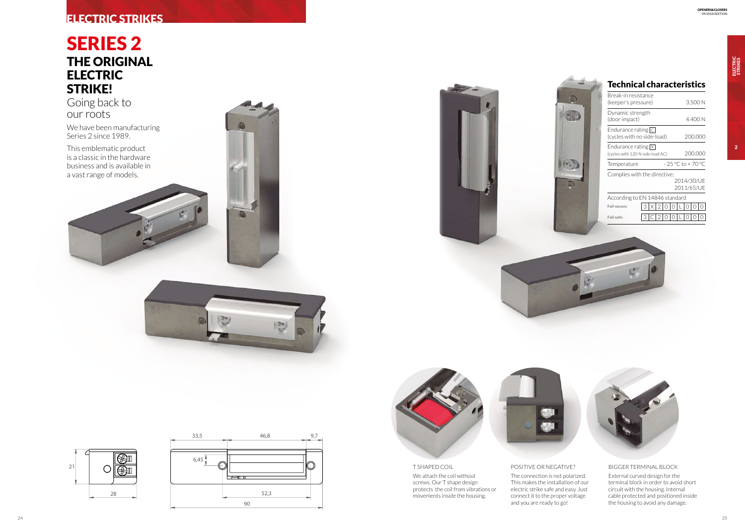





ELECTRIC<br>STRIKES

# SERIES 2 THE ORIGINAL ELECTRIC STRIKE!

Going back to our roots

We have been manufacturing Series 2 since 1989.

This emblematic product is a classic in the hardware business and is available in a vast range of models.





| 3.500 N                                                  |
|----------------------------------------------------------|
| 4.400 N                                                  |
| (cycles with no side-load)<br>200.000                    |
| 200.000<br>(cycles with 120 N side-load AC)              |
| - 25 °C to + 70 °C                                       |
| Complies with the directive:<br>2014/30/UE<br>2011/65/UE |
| According to EN 14846 standard                           |
| X 2 0 0                                                  |
|                                                          |
|                                                          |





## Technical characteristics

#### POSITIVE OR NEGATIVE?

The connection is not polarized. This makes the installation of our electric strike safe and easy. Just connect it to the proper voltage and you are ready to go!

#### BIGGER TERMINAL BLOCK

External curved design for the terminal block in order to avoid short circuit with the housing. Internal cable protected and positioned inside the housing to avoid any damage.

### T SHAPED COIL We attach the coil without

screws. Our T shape design protects the coil from vibrations or movements inside the housing.



# ELECTRIC STRIKES

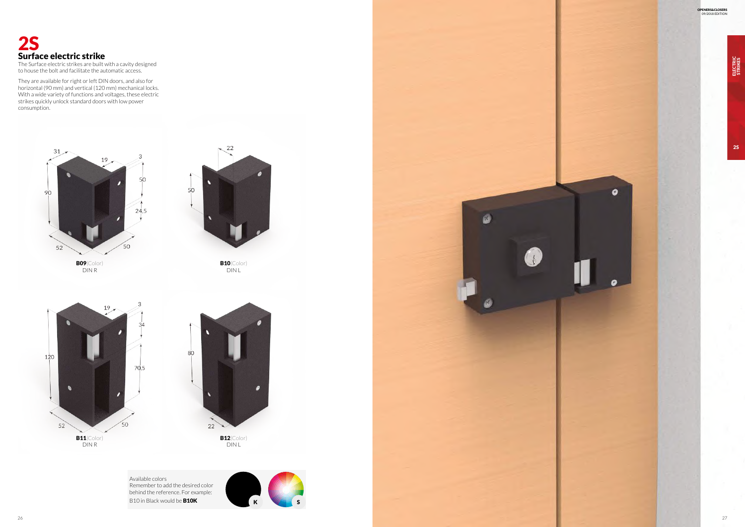

to house the bolt and facilitate the automatic access.

Available colors Remember to add the desired color behind the reference. For example: B10 in Black would be **B10K** K K K S



 $\alpha$ 

They are available for right or left DIN doors, and also for horizontal (90 mm) and vertical (120 mm) mechanical locks. With a wide variety of functions and voltages, these electric strikes quickly unlock standard doors with low power consumption.

> **B10**(Color) DIN L

 $\frac{22}{ }$ 





DIN L